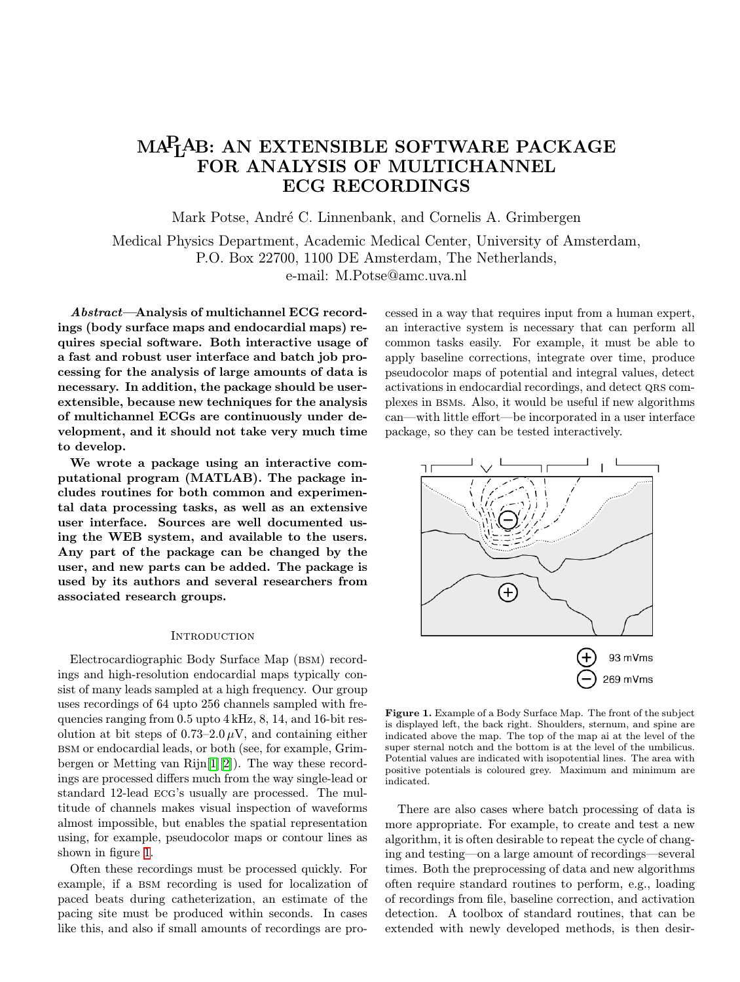# <span id="page-0-0"></span>MAPLAB: AN EXTENSIBLE SOFTWARE PACKAGE FOR ANALYSIS OF MULTICHANNEL ECG RECORDINGS

Mark Potse, André C. Linnenbank, and Cornelis A. Grimbergen

Medical Physics Department, Academic Medical Center, University of Amsterdam, P.O. Box 22700, 1100 DE Amsterdam, The Netherlands, e-mail: M.Potse@amc.uva.nl

*Abstract*—Analysis of multichannel ECG recordings (body surface maps and endocardial maps) requires special software. Both interactive usage of a fast and robust user interface and batch job processing for the analysis of large amounts of data is necessary. In addition, the package should be userextensible, because new techniques for the analysis of multichannel ECGs are continuously under development, and it should not take very much time to develop.

We wrote a package using an interactive computational program (MATLAB). The package includes routines for both common and experimental data processing tasks, as well as an extensive user interface. Sources are well documented using the WEB system, and available to the users. Any part of the package can be changed by the user, and new parts can be added. The package is used by its authors and several researchers from associated research groups.

## **INTRODUCTION**

Electrocardiographic Body Surface Map (BSM) recordings and high-resolution endocardial maps typically consist of many leads sampled at a high frequency. Our group uses recordings of 64 upto 256 channels sampled with frequencies ranging from 0.5 upto 4 kHz, 8, 14, and 16-bit resolution at bit steps of  $0.73-2.0 \,\mu\text{V}$ , and containing either bsm or endocardial leads, or both (see, for example, Grimbergen or Metting van Rijn[\[1](#page-3-0)][[2\]](#page-3-0)). The way these recordings are processed differs much from the way single-lead or standard 12-lead ecg's usually are processed. The multitude of channels makes visual inspection of waveforms almost impossible, but enables the spatial representation using, for example, pseudocolor maps or contour lines as shown in figure 1.

Often these recordings must be processed quickly. For example, if a bsm recording is used for localization of paced beats during catheterization, an estimate of the pacing site must be produced within seconds. In cases like this, and also if small amounts of recordings are processed in a way that requires input from a human expert, an interactive system is necessary that can perform all common tasks easily. For example, it must be able to apply baseline corrections, integrate over time, produce pseudocolor maps of potential and integral values, detect activations in endocardial recordings, and detect QRS complexes in bsms. Also, it would be useful if new algorithms can—with little effort—be incorporated in a user interface package, so they can be tested interactively.



Figure 1. Example of a Body Surface Map. The front of the subject is displayed left, the back right. Shoulders, sternum, and spine are indicated above the map. The top of the map ai at the level of the super sternal notch and the bottom is at the level of the umbilicus. Potential values are indicated with isopotential lines. The area with positive potentials is coloured grey. Maximum and minimum are indicated.

There are also cases where batch processing of data is more appropriate. For example, to create and test a new algorithm, it is often desirable to repeat the cycle of changing and testing—on a large amount of recordings—several times. Both the preprocessing of data and new algorithms often require standard routines to perform, e.g., loading of recordings from file, baseline correction, and activation detection. A toolbox of standard routines, that can be extended with newly developed methods, is then desir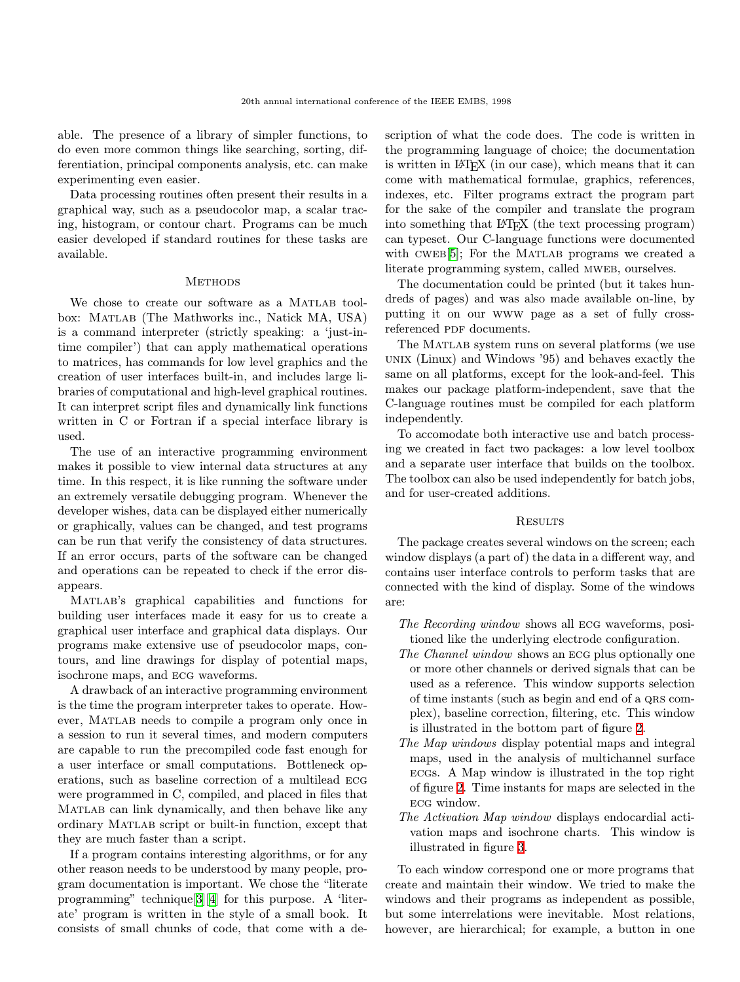able. The presence of a library of simpler functions, to do even more common things like searching, sorting, differentiation, principal components analysis, etc. can make experimenting even easier.

Data processing routines often present their results in a graphical way, such as a pseudocolor map, a scalar tracing, histogram, or contour chart. Programs can be much easier developed if standard routines for these tasks are available.

# **METHODS**

We chose to create our software as a MATLAB toolbox: Matlab (The Mathworks inc., Natick MA, USA) is a command interpreter (strictly speaking: a 'just-intime compiler') that can apply mathematical operations to matrices, has commands for low level graphics and the creation of user interfaces built-in, and includes large libraries of computational and high-level graphical routines. It can interpret script files and dynamically link functions written in C or Fortran if a special interface library is used.

The use of an interactive programming environment makes it possible to view internal data structures at any time. In this respect, it is like running the software under an extremely versatile debugging program. Whenever the developer wishes, data can be displayed either numerically or graphically, values can be changed, and test programs can be run that verify the consistency of data structures. If an error occurs, parts of the software can be changed and operations can be repeated to check if the error disappears.

Matlab's graphical capabilities and functions for building user interfaces made it easy for us to create a graphical user interface and graphical data displays. Our programs make extensive use of pseudocolor maps, contours, and line drawings for display of potential maps, isochrone maps, and ecg waveforms.

A drawback of an interactive programming environment is the time the program interpreter takes to operate. However, Matlab needs to compile a program only once in a session to run it several times, and modern computers are capable to run the precompiled code fast enough for a user interface or small computations. Bottleneck operations, such as baseline correction of a multilead ecg were programmed in C, compiled, and placed in files that Matlab can link dynamically, and then behave like any ordinary Matlab script or built-in function, except that they are much faster than a script.

If a program contains interesting algorithms, or for any other reason needs to be understood by many people, program documentation is important. We chose the "literate programming" technique[\[3](#page-3-0)][[4\]](#page-3-0) for this purpose. A 'literate' program is written in the style of a small book. It consists of small chunks of code, that come with a description of what the code does. The code is written in the programming language of choice; the documentation is written in LATEX (in our case), which means that it can come with mathematical formulae, graphics, references, indexes, etc. Filter programs extract the program part for the sake of the compiler and translate the program into something that LAT<sub>EX</sub> (the text processing program) can typeset. Our C-language functions were documented with CWEB<sup>[\[5](#page-3-0)]</sup>; For the MATLAB programs we created a literate programming system, called MWEB, ourselves.

The documentation could be printed (but it takes hundreds of pages) and was also made available on-line, by putting it on our www page as a set of fully crossreferenced PDF documents.

The MATLAB system runs on several platforms (we use unix (Linux) and Windows '95) and behaves exactly the same on all platforms, except for the look-and-feel. This makes our package platform-independent, save that the C-language routines must be compiled for each platform independently.

To accomodate both interactive use and batch processing we created in fact two packages: a low level toolbox and a separate user interface that builds on the toolbox. The toolbox can also be used independently for batch jobs, and for user-created additions.

# **RESULTS**

The package creates several windows on the screen; each window displays (a part of) the data in a different way, and contains user interface controls to perform tasks that are connected with the kind of display. Some of the windows are:

- *The Recording window* shows all ecg waveforms, positioned like the underlying electrode configuration.
- *The Channel window* shows an ecg plus optionally one or more other channels or derived signals that can be used as a reference. This window supports selection of time instants (such as begin and end of a qrs complex), baseline correction, filtering, etc. This window is illustrated in the bottom part of figure [2](#page-2-0).
- *The Map windows* display potential maps and integral maps, used in the analysis of multichannel surface ecgs. A Map window is illustrated in the top right of figure [2.](#page-2-0) Time instants for maps are selected in the ecg window.
- *The Activation Map window* displays endocardial activation maps and isochrone charts. This window is illustrated in figure [3](#page-3-0).

To each window correspond one or more programs that create and maintain their window. We tried to make the windows and their programs as independent as possible, but some interrelations were inevitable. Most relations, however, are hierarchical; for example, a button in one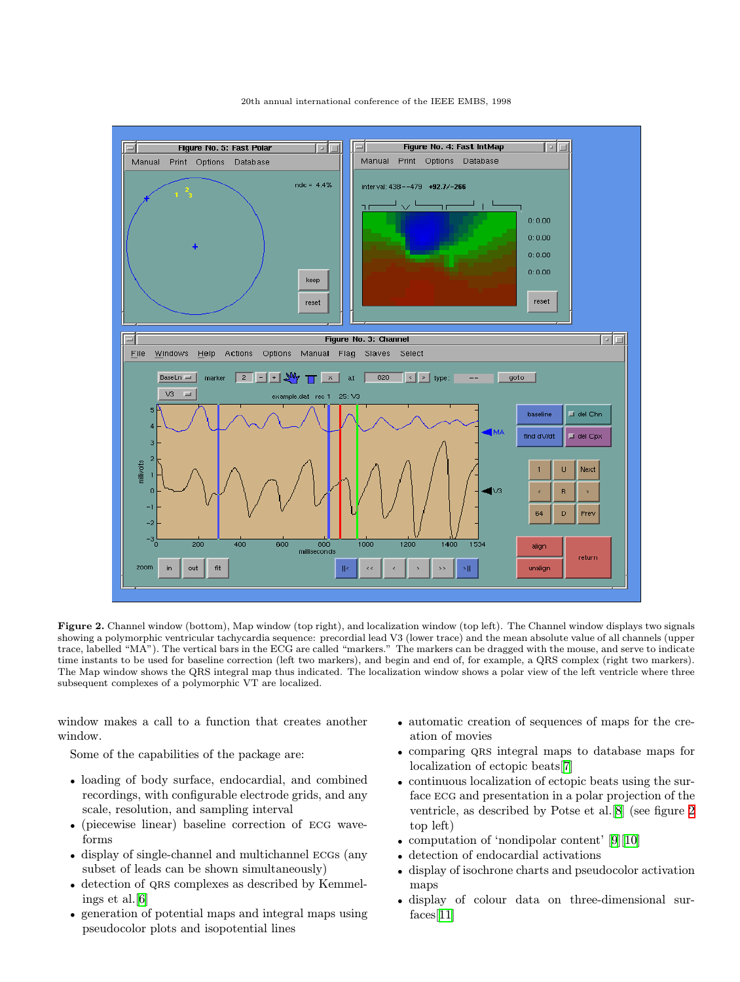<span id="page-2-0"></span>

20th annual international conference of the IEEE EMBS, 1998

Figure 2. Channel window (bottom), Map window (top right), and localization window (top left). The Channel window displays two signals showing a polymorphic ventricular tachycardia sequence: precordial lead V3 (lower trace) and the mean absolute value of all channels (upper trace, labelled "MA"). The vertical bars in the ECG are called "markers." The markers can be dragged with the mouse, and serve to indicate time instants to be used for baseline correction (left two markers), and begin and end of, for example, a QRS complex (right two markers). The Map window shows the QRS integral map thus indicated. The localization window shows a polar view of the left ventricle where three subsequent complexes of a polymorphic VT are localized.

window makes a call to a function that creates another window.

Some of the capabilities of the package are:

- loading of body surface, endocardial, and combined recordings, with configurable electrode grids, and any scale, resolution, and sampling interval
- (piecewise linear) baseline correction of ECG waveforms
- display of single-channel and multichannel ECGs (any subset of leads can be shown simultaneously)
- detection of QRS complexes as described by Kemmelings et al.[[6\]](#page-3-0)
- generation of potential maps and integral maps using pseudocolor plots and isopotential lines
- automatic creation of sequences of maps for the creation of movies
- comparing QRS integral maps to database maps for localization of ectopic beats[[7\]](#page-3-0)
- continuous localization of ectopic beats using the surface ecg and presentation in a polar projection of the ventricle, as described by Potse et al.[[8\]](#page-3-0) (see figure 2 top left)
- computation of 'nondipolar content' [\[9](#page-3-0)][[10\]](#page-3-0)
- detection of endocardial activations
- display of isochrone charts and pseudocolor activation maps
- display of colour data on three-dimensional surfaces[[11\]](#page-3-0)